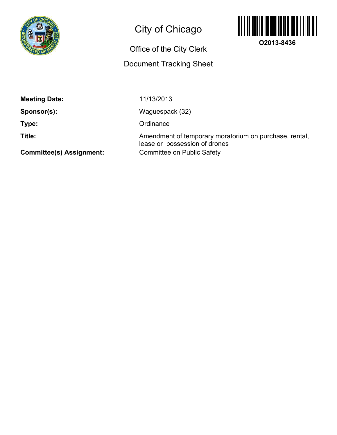

## City of Chicago

## Office of the City Clerk

## Document Tracking Sheet



**O2013-8436**

**Meeting Date:**

**Sponsor(s):**

**Type:**

**Title:**

Waguespack (32)

**Ordinance** 

11/13/2013

Committee on Public Safety Amendment of temporary moratorium on purchase, rental, lease or possession of drones

**Committee(s) Assignment:**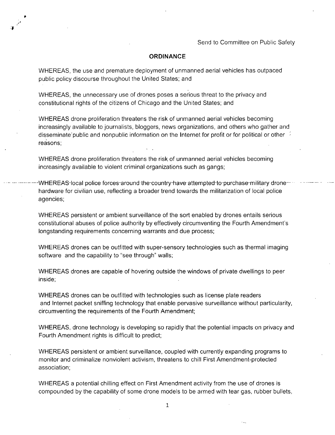## **ORDINANCE**

WHEREAS, the use and premature deployment of unmanned aerial vehicles has outpaced public policy discourse throughout the United States; and

WHEREAS, the unnecessary use of drones poses a serious threat to the privacy and constitutional rights of the citizens of Chicago and the United States; and

WHEREAS drone proliferation threatens the risk of unmanned aerial vehicles becoming increasingly available to journalists, bloggers, news organizations, and others who gather and disseminate public and nonpublic information on the Internet for profit or for political or other reasons;

WHEREAS drone proliferation threatens the risk of unmanned aerial vehicles becoming increasingly available to violent criminal organizations such as gangs;

-WHEREASHocal police forces-around the-country-have attempted-to purchase-military dronehardware for civilian use, reflecting a broader trend towards the militarization of local police agencies;

WHEREAS persistent or ambient surveillance of the sort enabled by drones entails serious constitutional abuses of police authority by effectively circumventing the Fourth Amendment's longstanding requirements concerning warrants and due process;

WHEREAS drones can be outfitted with super-sensory technologies such as thermal imaging software and the capability to "see through" walls;

WHEREAS drones are capable of hovering outside the windows of private dwellings to peer inside;

WHEREAS drones can be outfitted with technologies such as license plate readers and Internet packet sniffing technology that enable pervasive surveillance without particularity, circumventing the requirements of the Fourth Amendment;

WHEREAS, drone technology is developing so rapidly that the potential impacts on privacy and Fourth Amendment rights is difficult to predict;

WHEREAS persistent or ambient surveillance, coupled with currently expanding programs to monitor and criminalize nonviolent activism, threatens to chill First Amendment-protected association;

WHEREAS a potential chilling effect on First Amendment activity from the use of drones is compounded by the capability of some drone models to be armed with tear gas, rubber bullets,

 $\mathbf{1}$